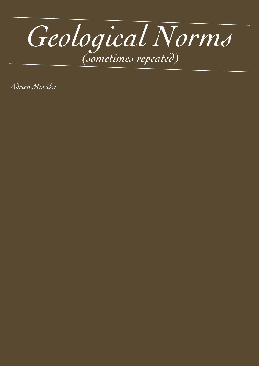

Adrien Missika